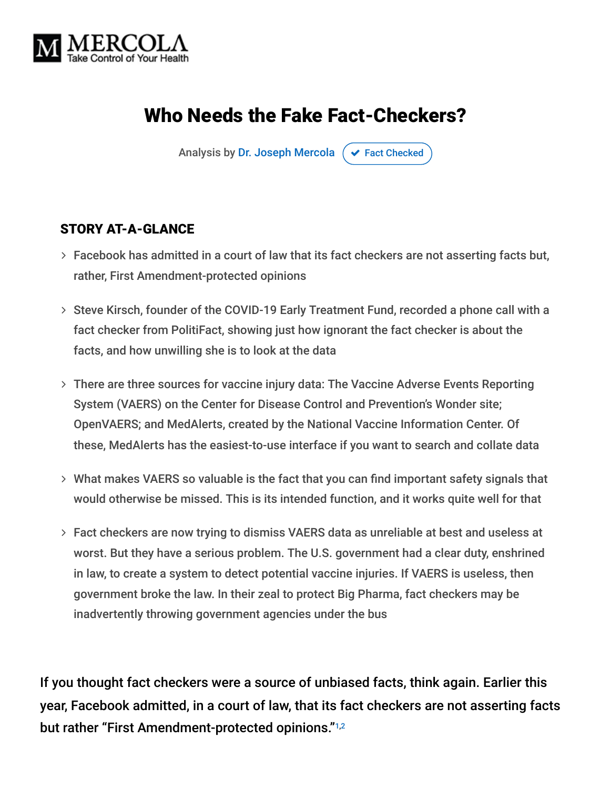

# Who Needs the Fake Fact-Checkers?

Analysis by [Dr. Joseph Mercola](https://www.mercola.com/forms/background.htm)  $\sigma$  [Fact Checked](javascript:void(0))

#### STORY AT-A-GLANCE

- Facebook has admitted in a court of law that its fact checkers are not asserting facts but, rather, First Amendment-protected opinions
- > Steve Kirsch, founder of the COVID-19 Early Treatment Fund, recorded a phone call with a fact checker from PolitiFact, showing just how ignorant the fact checker is about the facts, and how unwilling she is to look at the data
- There are three sources for vaccine injury data: The Vaccine Adverse Events Reporting System (VAERS) on the Center for Disease Control and Prevention's Wonder site; OpenVAERS; and MedAlerts, created by the National Vaccine Information Center. Of these, MedAlerts has the easiest-to-use interface if you want to search and collate data
- What makes VAERS so valuable is the fact that you can find important safety signals that would otherwise be missed. This is its intended function, and it works quite well for that
- Fact checkers are now trying to dismiss VAERS data as unreliable at best and useless at worst. But they have a serious problem. The U.S. government had a clear duty, enshrined in law, to create a system to detect potential vaccine injuries. If VAERS is useless, then government broke the law. In their zeal to protect Big Pharma, fact checkers may be inadvertently throwing government agencies under the bus

If you thought fact checkers were a source of unbiased facts, think again. Earlier this year, Facebook admitted, in a court of law, that its fact checkers are not asserting facts but rather "First Amendment-protected opinions."<sup>1,2</sup>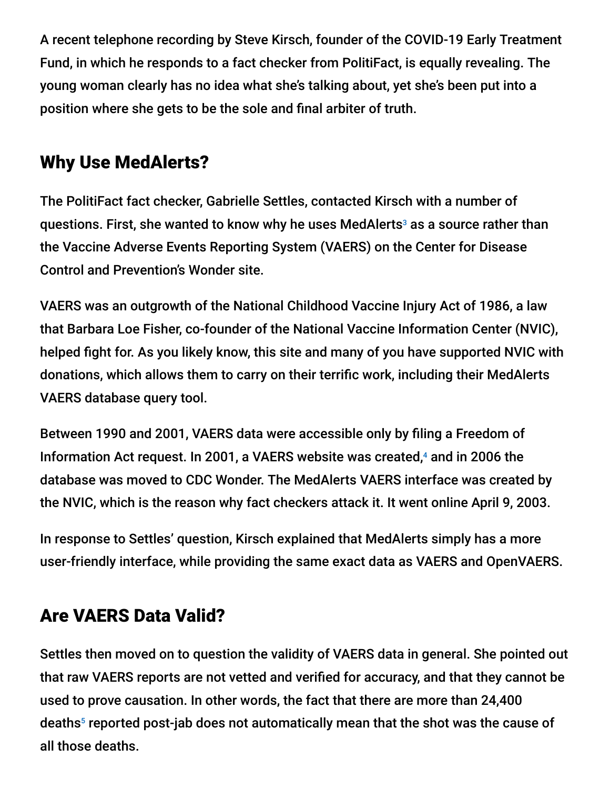A recent telephone recording by Steve Kirsch, founder of the COVID-19 Early Treatment Fund, in which he responds to a fact checker from PolitiFact, is equally revealing. The young woman clearly has no idea what she's talking about, yet she's been put into a position where she gets to be the sole and final arbiter of truth.

# Why Use MedAlerts?

The PolitiFact fact checker, Gabrielle Settles, contacted Kirsch with a number of questions. First, she wanted to know why he uses MedAlerts $^{\circ}$  as a source rather than the Vaccine Adverse Events Reporting System (VAERS) on the Center for Disease Control and Prevention's Wonder site.

VAERS was an outgrowth of the National Childhood Vaccine Injury Act of 1986, a law that Barbara Loe Fisher, co-founder of the National Vaccine Information Center (NVIC), helped fight for. As you likely know, this site and many of you have supported NVIC with donations, which allows them to carry on their terrific work, including their MedAlerts VAERS database query tool.

Between 1990 and 2001, VAERS data were accessible only by filing a Freedom of Information Act request. In 2001, a VAERS website was created, $4$  and in 2006 the database was moved to CDC Wonder. The MedAlerts VAERS interface was created by the NVIC, which is the reason why fact checkers attack it. It went online April 9, 2003.

In response to Settles' question, Kirsch explained that MedAlerts simply has a more user-friendly interface, while providing the same exact data as VAERS and OpenVAERS.

## Are VAERS Data Valid?

Settles then moved on to question the validity of VAERS data in general. She pointed out that raw VAERS reports are not vetted and verified for accuracy, and that they cannot be used to prove causation. In other words, the fact that there are more than 24,400 deaths<sup>5</sup> reported post-jab does not automatically mean that the shot was the cause of all those deaths.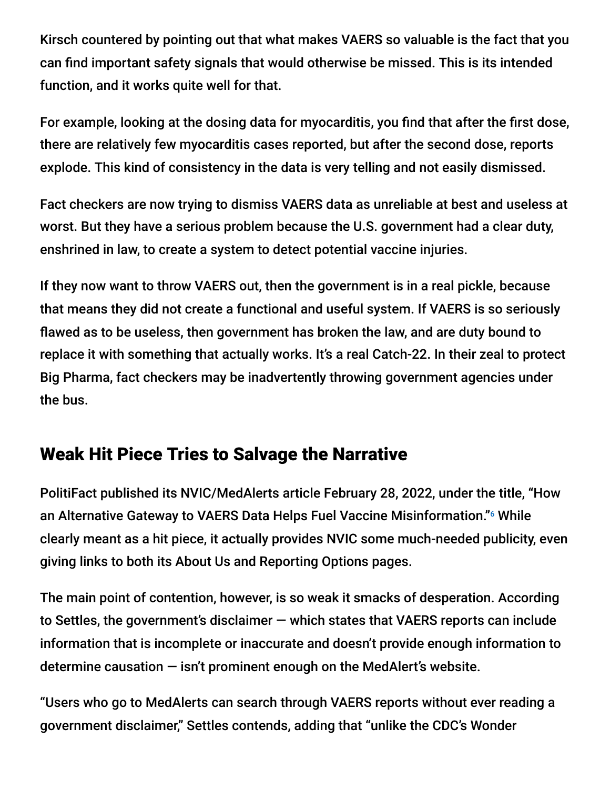Kirsch countered by pointing out that what makes VAERS so valuable is the fact that you can find important safety signals that would otherwise be missed. This is its intended function, and it works quite well for that.

For example, looking at the dosing data for myocarditis, you find that after the first dose, there are relatively few myocarditis cases reported, but after the second dose, reports explode. This kind of consistency in the data is very telling and not easily dismissed.

Fact checkers are now trying to dismiss VAERS data as unreliable at best and useless at worst. But they have a serious problem because the U.S. government had a clear duty, enshrined in law, to create a system to detect potential vaccine injuries.

If they now want to throw VAERS out, then the government is in a real pickle, because that means they did not create a functional and useful system. If VAERS is so seriously flawed as to be useless, then government has broken the law, and are duty bound to replace it with something that actually works. It's a real Catch-22. In their zeal to protect Big Pharma, fact checkers may be inadvertently throwing government agencies under the bus.

# Weak Hit Piece Tries to Salvage the Narrative

PolitiFact published its NVIC/MedAlerts article February 28, 2022, under the title, "How an Alternative Gateway to VAERS Data Helps Fuel Vaccine Misinformation."<sup>6</sup> While clearly meant as a hit piece, it actually provides NVIC some much-needed publicity, even giving links to both its About Us and Reporting Options pages.

The main point of contention, however, is so weak it smacks of desperation. According to Settles, the government's disclaimer — which states that VAERS reports can include information that is incomplete or inaccurate and doesn't provide enough information to determine causation — isn't prominent enough on the MedAlert's website.

"Users who go to MedAlerts can search through VAERS reports without ever reading a government disclaimer," Settles contends, adding that "unlike the CDC's Wonder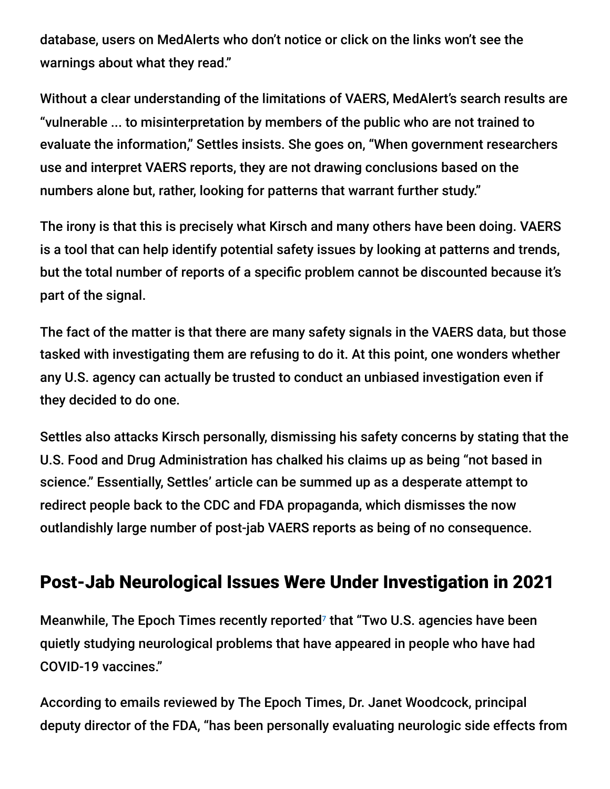database, users on MedAlerts who don't notice or click on the links won't see the warnings about what they read."

Without a clear understanding of the limitations of VAERS, MedAlert's search results are "vulnerable ... to misinterpretation by members of the public who are not trained to evaluate the information," Settles insists. She goes on, "When government researchers use and interpret VAERS reports, they are not drawing conclusions based on the numbers alone but, rather, looking for patterns that warrant further study."

The irony is that this is precisely what Kirsch and many others have been doing. VAERS is a tool that can help identify potential safety issues by looking at patterns and trends, but the total number of reports of a specific problem cannot be discounted because it's part of the signal.

The fact of the matter is that there are many safety signals in the VAERS data, but those tasked with investigating them are refusing to do it. At this point, one wonders whether any U.S. agency can actually be trusted to conduct an unbiased investigation even if they decided to do one.

Settles also attacks Kirsch personally, dismissing his safety concerns by stating that the U.S. Food and Drug Administration has chalked his claims up as being "not based in science." Essentially, Settles' article can be summed up as a desperate attempt to redirect people back to the CDC and FDA propaganda, which dismisses the now outlandishly large number of post-jab VAERS reports as being of no consequence.

### Post-Jab Neurological Issues Were Under Investigation in 2021

Meanwhile, The Epoch Times recently reported<sup>7</sup> that "Two U.S. agencies have been quietly studying neurological problems that have appeared in people who have had COVID-19 vaccines."

According to emails reviewed by The Epoch Times, Dr. Janet Woodcock, principal deputy director of the FDA, "has been personally evaluating neurologic side effects from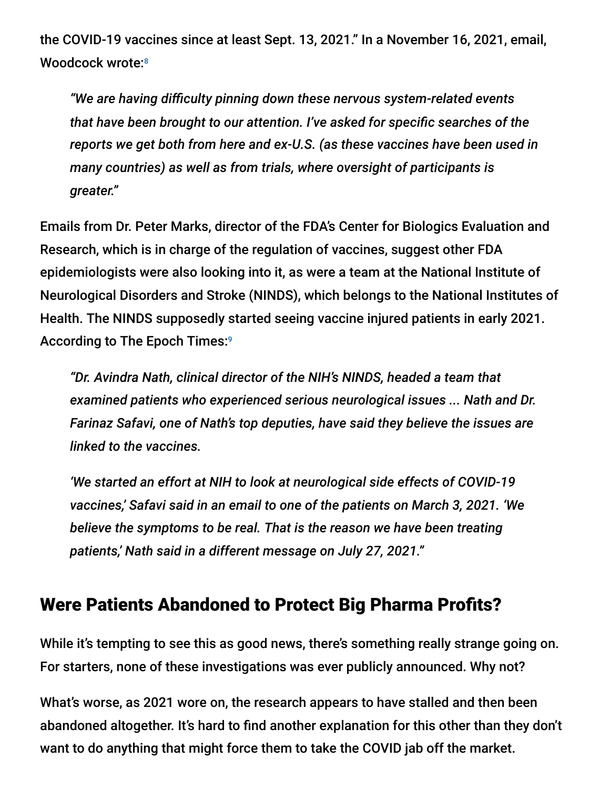the COVID-19 vaccines since at least Sept. 13, 2021." In a November 16, 2021, email, Woodcock wrote: 8

*"We are having difficulty pinning down these nervous system-related events that have been brought to our attention. I've asked for specific searches of the reports we get both from here and ex-U.S. (as these vaccines have been used in many countries) as well as from trials, where oversight of participants is greater."*

Emails from Dr. Peter Marks, director of the FDA's Center for Biologics Evaluation and Research, which is in charge of the regulation of vaccines, suggest other FDA epidemiologists were also looking into it, as were a team at the National Institute of Neurological Disorders and Stroke (NINDS), which belongs to the National Institutes of Health. The NINDS supposedly started seeing vaccine injured patients in early 2021. According to The Epoch Times: 9

*"Dr. Avindra Nath, clinical director of the NIH's NINDS, headed a team that examined patients who experienced serious neurological issues ... Nath and Dr. Farinaz Safavi, one of Nath's top deputies, have said they believe the issues are linked to the vaccines.*

*'We started an effort at NIH to look at neurological side effects of COVID-19 vaccines,' Safavi said in an email to one of the patients on March 3, 2021. 'We believe the symptoms to be real. That is the reason we have been treating patients,' Nath said in a different message on July 27, 2021."*

### Were Patients Abandoned to Protect Big Pharma Profits?

While it's tempting to see this as good news, there's something really strange going on. For starters, none of these investigations was ever publicly announced. Why not?

What's worse, as 2021 wore on, the research appears to have stalled and then been abandoned altogether. It's hard to find another explanation for this other than they don't want to do anything that might force them to take the COVID jab off the market.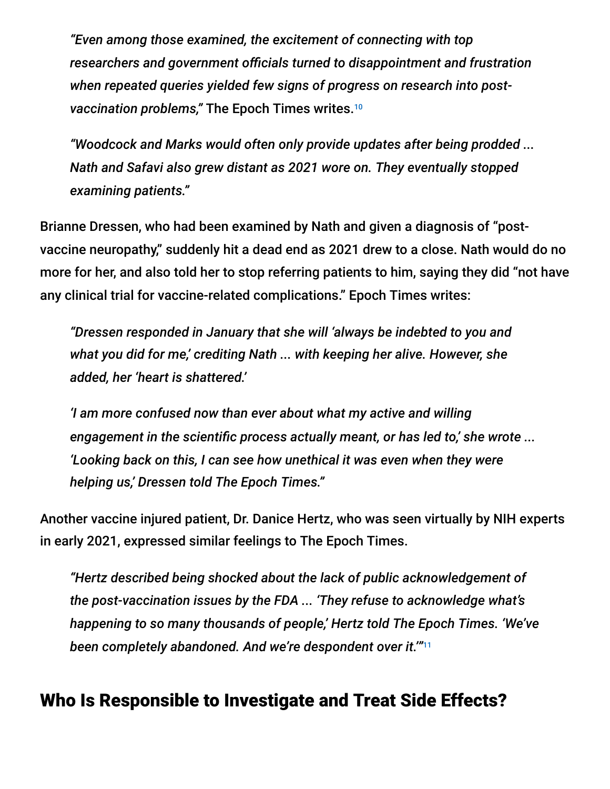*"Even among those examined, the excitement of connecting with top researchers and government officials turned to disappointment and frustration when repeated queries yielded few signs of progress on research into postvaccination problems,"* The Epoch Times writes. 10

*"Woodcock and Marks would often only provide updates after being prodded ... Nath and Safavi also grew distant as 2021 wore on. They eventually stopped examining patients."*

Brianne Dressen, who had been examined by Nath and given a diagnosis of "postvaccine neuropathy," suddenly hit a dead end as 2021 drew to a close. Nath would do no more for her, and also told her to stop referring patients to him, saying they did "not have any clinical trial for vaccine-related complications." Epoch Times writes:

*"Dressen responded in January that she will 'always be indebted to you and what you did for me,' crediting Nath ... with keeping her alive. However, she added, her 'heart is shattered.'*

*'I am more confused now than ever about what my active and willing engagement in the scientific process actually meant, or has led to,' she wrote ... 'Looking back on this, I can see how unethical it was even when they were helping us,' Dressen told The Epoch Times."*

Another vaccine injured patient, Dr. Danice Hertz, who was seen virtually by NIH experts in early 2021, expressed similar feelings to The Epoch Times.

*"Hertz described being shocked about the lack of public acknowledgement of the post-vaccination issues by the FDA ... 'They refuse to acknowledge what's happening to so many thousands of people,' Hertz told The Epoch Times. 'We've been completely abandoned. And we're despondent over it.'"* 11

### Who Is Responsible to Investigate and Treat Side Effects?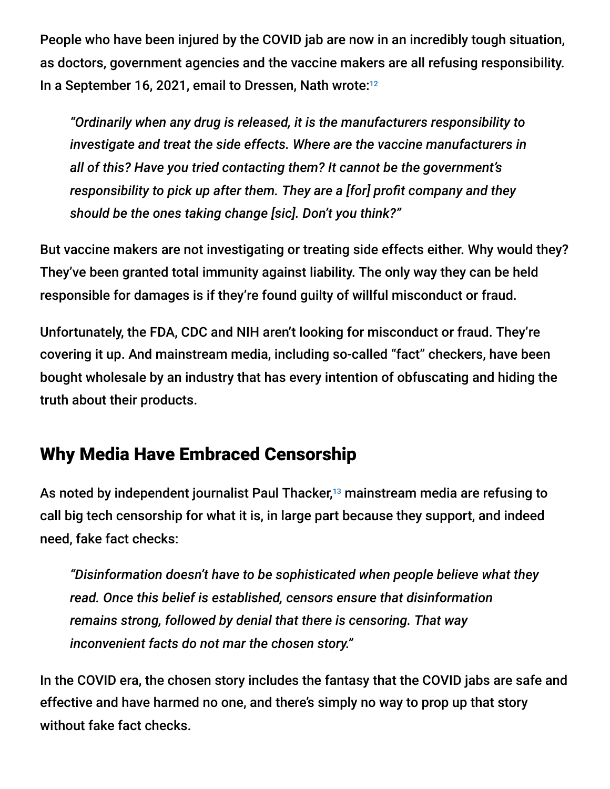People who have been injured by the COVID jab are now in an incredibly tough situation, as doctors, government agencies and the vaccine makers are all refusing responsibility. In a September 16, 2021, email to Dressen, Nath wrote: 12

*"Ordinarily when any drug is released, it is the manufacturers responsibility to investigate and treat the side effects. Where are the vaccine manufacturers in all of this? Have you tried contacting them? It cannot be the government's responsibility to pick up after them. They are a [for] profit company and they should be the ones taking change [sic]. Don't you think?"*

But vaccine makers are not investigating or treating side effects either. Why would they? They've been granted total immunity against liability. The only way they can be held responsible for damages is if they're found guilty of willful misconduct or fraud.

Unfortunately, the FDA, CDC and NIH aren't looking for misconduct or fraud. They're covering it up. And mainstream media, including so-called "fact" checkers, have been bought wholesale by an industry that has every intention of obfuscating and hiding the truth about their products.

## Why Media Have Embraced Censorship

As noted by independent journalist Paul Thacker,<sup>13</sup> mainstream media are refusing to call big tech censorship for what it is, in large part because they support, and indeed need, fake fact checks:

*"Disinformation doesn't have to be sophisticated when people believe what they read. Once this belief is established, censors ensure that disinformation remains strong, followed by denial that there is censoring. That way inconvenient facts do not mar the chosen story."*

In the COVID era, the chosen story includes the fantasy that the COVID jabs are safe and effective and have harmed no one, and there's simply no way to prop up that story without fake fact checks.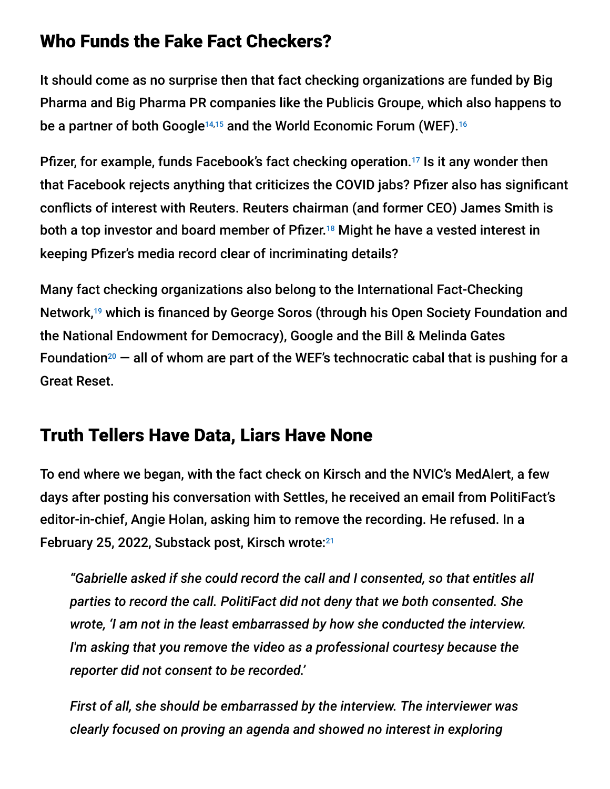### Who Funds the Fake Fact Checkers?

It should come as no surprise then that fact checking organizations are funded by Big Pharma and Big Pharma PR companies like the Publicis Groupe, which also happens to be a partner of both Google<sup>14,15</sup> and the World Economic Forum (WEF).<sup>16</sup>

Pfizer, for example, funds Facebook's fact checking operation.<sup>17</sup> Is it any wonder then that Facebook rejects anything that criticizes the COVID jabs? Pfizer also has significant conflicts of interest with Reuters. Reuters chairman (and former CEO) James Smith is both a top investor and board member of Pfizer.<sup>18</sup> Might he have a vested interest in keeping Pfizer's media record clear of incriminating details?

Many fact checking organizations also belong to the International Fact-Checking Network,<sup>19</sup> which is financed by George Soros (through his Open Society Foundation and the National Endowment for Democracy), Google and the Bill & Melinda Gates Foundation<sup>20</sup>  $-$  all of whom are part of the WEF's technocratic cabal that is pushing for a Great Reset.

## Truth Tellers Have Data, Liars Have None

To end where we began, with the fact check on Kirsch and the NVIC's MedAlert, a few days after posting his conversation with Settles, he received an email from PolitiFact's editor-in-chief, Angie Holan, asking him to remove the recording. He refused. In a February 25, 2022, Substack post, Kirsch wrote:<sup>21</sup>

*"Gabrielle asked if she could record the call and I consented, so that entitles all parties to record the call. PolitiFact did not deny that we both consented. She wrote, 'I am not in the least embarrassed by how she conducted the interview. I'm asking that you remove the video as a professional courtesy because the reporter did not consent to be recorded.'*

*First of all, she should be embarrassed by the interview. The interviewer was clearly focused on proving an agenda and showed no interest in exploring*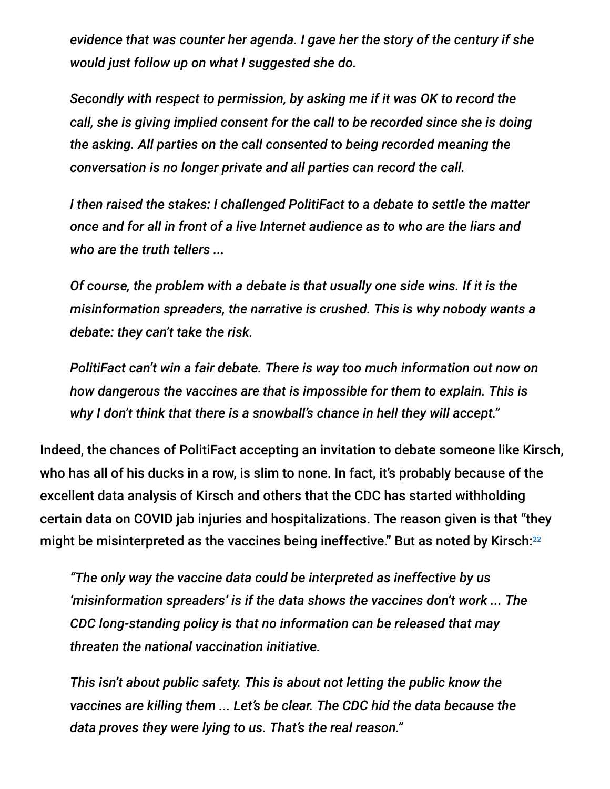*evidence that was counter her agenda. I gave her the story of the century if she would just follow up on what I suggested she do.*

*Secondly with respect to permission, by asking me if it was OK to record the call, she is giving implied consent for the call to be recorded since she is doing the asking. All parties on the call consented to being recorded meaning the conversation is no longer private and all parties can record the call.*

*I then raised the stakes: I challenged PolitiFact to a debate to settle the matter once and for all in front of a live Internet audience as to who are the liars and who are the truth tellers ...*

*Of course, the problem with a debate is that usually one side wins. If it is the misinformation spreaders, the narrative is crushed. This is why nobody wants a debate: they can't take the risk.*

*PolitiFact can't win a fair debate. There is way too much information out now on how dangerous the vaccines are that is impossible for them to explain. This is why I don't think that there is a snowball's chance in hell they will accept."*

Indeed, the chances of PolitiFact accepting an invitation to debate someone like Kirsch, who has all of his ducks in a row, is slim to none. In fact, it's probably because of the excellent data analysis of Kirsch and others that the CDC has started withholding certain data on COVID jab injuries and hospitalizations. The reason given is that "they might be misinterpreted as the vaccines being ineffective." But as noted by Kirsch: 22

*"The only way the vaccine data could be interpreted as ineffective by us 'misinformation spreaders' is if the data shows the vaccines don't work ... The CDC long-standing policy is that no information can be released that may threaten the national vaccination initiative.*

*This isn't about public safety. This is about not letting the public know the vaccines are killing them ... Let's be clear. The CDC hid the data because the data proves they were lying to us. That's the real reason."*